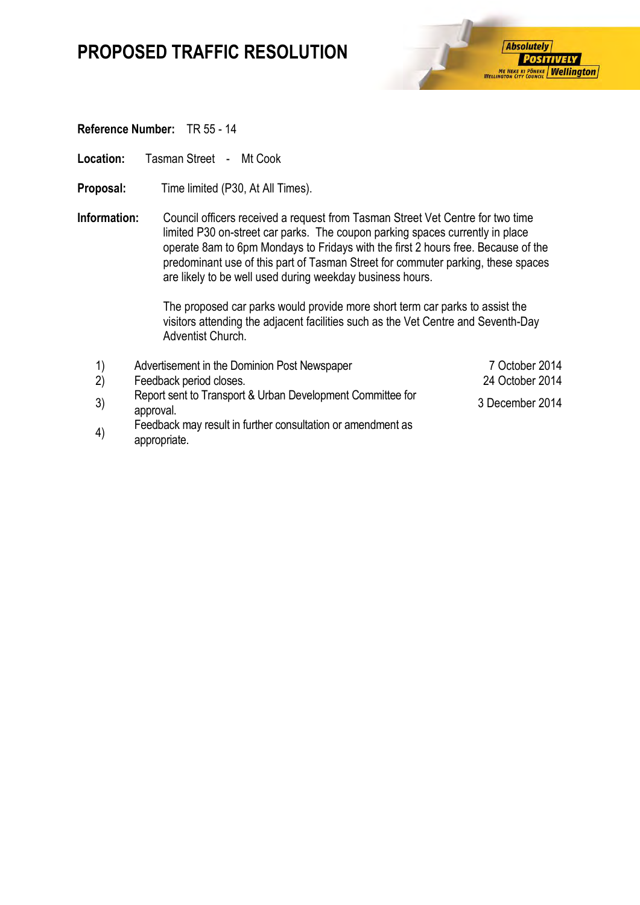### **PROPOSED TRAFFIC RESOLUTION**



#### **Reference Number:** TR 55 - 14

Location: Tasman Street - Mt Cook

- **Proposal:** Time limited (P30, At All Times).
- **Information:** Council officers received a request from Tasman Street Vet Centre for two time limited P30 on-street car parks. The coupon parking spaces currently in place operate 8am to 6pm Mondays to Fridays with the first 2 hours free. Because of the predominant use of this part of Tasman Street for commuter parking, these spaces are likely to be well used during weekday business hours.

The proposed car parks would provide more short term car parks to assist the visitors attending the adjacent facilities such as the Vet Centre and Seventh-Day Adventist Church.

| $\left( \begin{matrix} 1 \end{matrix} \right)$ | Advertisement in the Dominion Post Newspaper                                | 7 October 2014  |
|------------------------------------------------|-----------------------------------------------------------------------------|-----------------|
| 2)                                             | Feedback period closes.                                                     | 24 October 2014 |
| 3)                                             | Report sent to Transport & Urban Development Committee for<br>approval.     | 3 December 2014 |
| 4)                                             | Feedback may result in further consultation or amendment as<br>appropriate. |                 |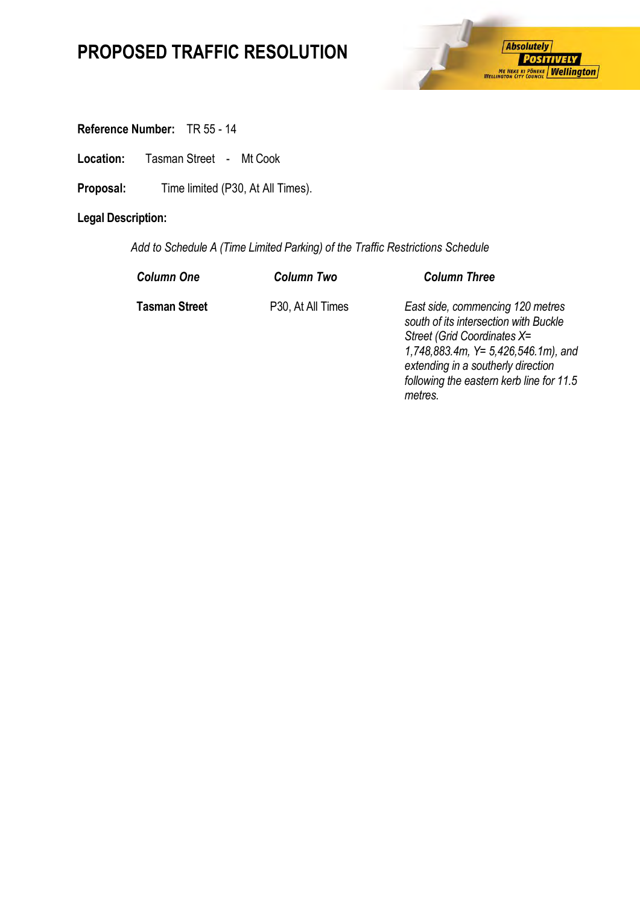# **PROPOSED TRAFFIC RESOLUTION**



**Reference Number:** TR 55 - 14

**Location:** Tasman Street - Mt Cook

Proposal: Time limited (P30, At All Times).

### **Legal Description:**

*Add to Schedule A (Time Limited Parking) of the Traffic Restrictions Schedule* 

| <b>Column One</b>    | <b>Column Two</b> | <b>Column Three</b>                                                                                                                                                                                                                  |
|----------------------|-------------------|--------------------------------------------------------------------------------------------------------------------------------------------------------------------------------------------------------------------------------------|
| <b>Tasman Street</b> | P30, At All Times | East side, commencing 120 metres<br>south of its intersection with Buckle<br>Street (Grid Coordinates X=<br>1,748,883.4m, $Y = 5,426,546.1m$ , and<br>extending in a southerly direction<br>following the eastern kerb line for 11.5 |

*metres.*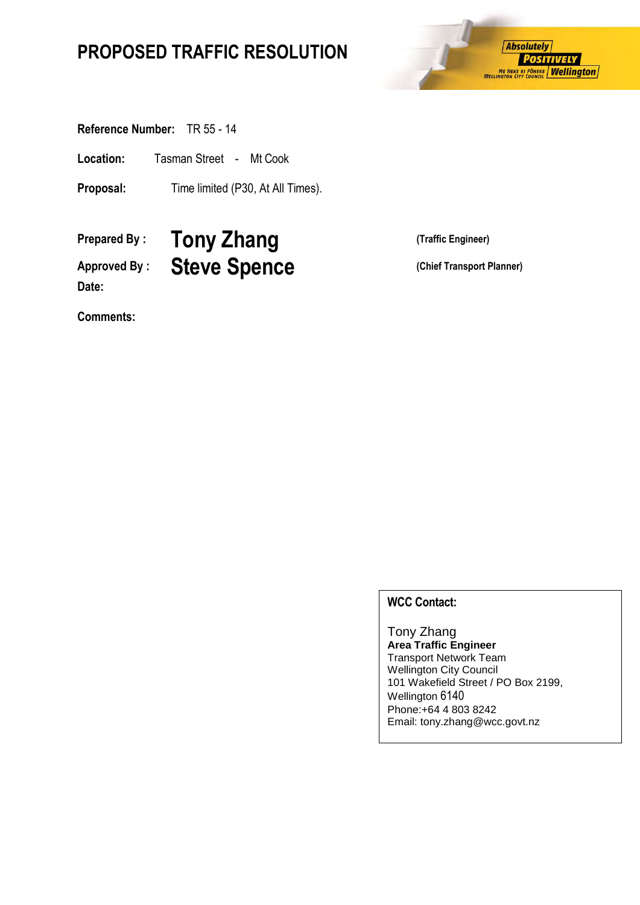## **PROPOSED TRAFFIC RESOLUTION**



**Reference Number:** TR 55 - 14

**Location:** Tasman Street - Mt Cook

**Proposal:** Time limited (P30, At All Times).

**Prepared By : Tony Zhang (Traffic Engineer)** Approved By : **Steve Spence** (Chief Transport Planner) **Date:**

**Comments:**

#### **WCC Contact:**

Tony Zhang **Area Traffic Engineer** Transport Network Team Wellington City Council 101 Wakefield Street / PO Box 2199, Wellington 6140 Phone:+64 4 803 8242 Email: tony.zhang@wcc.govt.nz